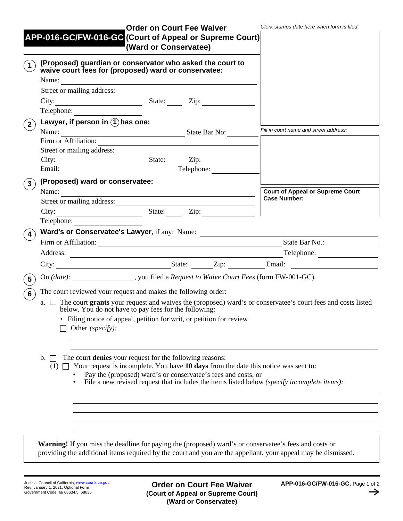|                                                 |                                                                                                                                                                                                                                                                                                                                                     | <b>Order on Court Fee Waiver</b>                                                 |  |                                         | Clerk stamps date here when form is filed. |  |
|-------------------------------------------------|-----------------------------------------------------------------------------------------------------------------------------------------------------------------------------------------------------------------------------------------------------------------------------------------------------------------------------------------------------|----------------------------------------------------------------------------------|--|-----------------------------------------|--------------------------------------------|--|
|                                                 | APP-016-GC/FW-016-GC (Court of Appeal or Supreme Court)                                                                                                                                                                                                                                                                                             |                                                                                  |  |                                         |                                            |  |
|                                                 |                                                                                                                                                                                                                                                                                                                                                     | (Ward or Conservatee)                                                            |  |                                         |                                            |  |
| $\left( \begin{array}{c} 1 \end{array} \right)$ | (Proposed) guardian or conservator who asked the court to                                                                                                                                                                                                                                                                                           |                                                                                  |  |                                         |                                            |  |
|                                                 | waive court fees for (proposed) ward or conservatee:                                                                                                                                                                                                                                                                                                |                                                                                  |  |                                         |                                            |  |
|                                                 |                                                                                                                                                                                                                                                                                                                                                     |                                                                                  |  |                                         |                                            |  |
|                                                 | Street or mailing address:                                                                                                                                                                                                                                                                                                                          |                                                                                  |  |                                         |                                            |  |
|                                                 | City: City: City: City:<br>Telephone:                                                                                                                                                                                                                                                                                                               |                                                                                  |  |                                         |                                            |  |
|                                                 | Lawyer, if person in $(1)$ has one:                                                                                                                                                                                                                                                                                                                 |                                                                                  |  |                                         |                                            |  |
| $\mathbf{2}^{\prime}$                           | Name: State Bar No:                                                                                                                                                                                                                                                                                                                                 |                                                                                  |  |                                         | Fill in court name and street address:     |  |
|                                                 | Firm or Affiliation:                                                                                                                                                                                                                                                                                                                                |                                                                                  |  |                                         |                                            |  |
|                                                 | Street or mailing address:                                                                                                                                                                                                                                                                                                                          |                                                                                  |  |                                         |                                            |  |
|                                                 | City: Email: State: Zip: Zip: Telephone:                                                                                                                                                                                                                                                                                                            |                                                                                  |  |                                         |                                            |  |
|                                                 |                                                                                                                                                                                                                                                                                                                                                     |                                                                                  |  |                                         |                                            |  |
| $\mathbf{3}$                                    | (Proposed) ward or conservatee:                                                                                                                                                                                                                                                                                                                     |                                                                                  |  |                                         |                                            |  |
|                                                 | Name:                                                                                                                                                                                                                                                                                                                                               |                                                                                  |  | <b>Court of Appeal or Supreme Court</b> |                                            |  |
|                                                 | Street or mailing address:                                                                                                                                                                                                                                                                                                                          |                                                                                  |  |                                         | <b>Case Number:</b>                        |  |
|                                                 |                                                                                                                                                                                                                                                                                                                                                     |                                                                                  |  |                                         |                                            |  |
|                                                 | Telephone:                                                                                                                                                                                                                                                                                                                                          |                                                                                  |  |                                         |                                            |  |
| $\vert$ 4)                                      |                                                                                                                                                                                                                                                                                                                                                     | Ward's or Conservatee's Lawyer, if any: Name: __________________________________ |  |                                         |                                            |  |
|                                                 |                                                                                                                                                                                                                                                                                                                                                     |                                                                                  |  |                                         | State Bar No.:                             |  |
|                                                 |                                                                                                                                                                                                                                                                                                                                                     |                                                                                  |  |                                         |                                            |  |
|                                                 |                                                                                                                                                                                                                                                                                                                                                     |                                                                                  |  |                                         |                                            |  |
| $\left(5\right)$                                | On (date): ________________, you filed a Request to Waive Court Fees (form FW-001-GC).                                                                                                                                                                                                                                                              |                                                                                  |  |                                         |                                            |  |
|                                                 | $(6)$ The court reviewed your request and makes the following order:                                                                                                                                                                                                                                                                                |                                                                                  |  |                                         |                                            |  |
|                                                 | a. The court grants your request and waives the (proposed) ward's or conservatee's court fees and costs listed<br>below. You do not have to pay fees for the following:                                                                                                                                                                             |                                                                                  |  |                                         |                                            |  |
|                                                 | Filing notice of appeal, petition for writ, or petition for review<br>Other (specify):                                                                                                                                                                                                                                                              |                                                                                  |  |                                         |                                            |  |
|                                                 |                                                                                                                                                                                                                                                                                                                                                     |                                                                                  |  |                                         |                                            |  |
|                                                 | The court <b>denies</b> your request for the following reasons:<br>$\mathbf{b}$ .<br>(1) $\Box$ Your request is incomplete. You have 10 days from the date this notice was sent to:<br>Pay the (proposed) ward's or conservatee's fees and costs, or<br>File a new revised request that includes the items listed below (specify incomplete items): |                                                                                  |  |                                         |                                            |  |
|                                                 | <b>Warning!</b> If you miss the deadline for paying the (proposed) ward's or conservatee's fees and costs or                                                                                                                                                                                                                                        |                                                                                  |  |                                         |                                            |  |
|                                                 | providing the additional items required by the court and you are the appellant, your appeal may be dismissed.                                                                                                                                                                                                                                       |                                                                                  |  |                                         |                                            |  |

**Order on Court Fee Waiver (Court of Appeal or Supreme Court) (Ward or Conservatee)**